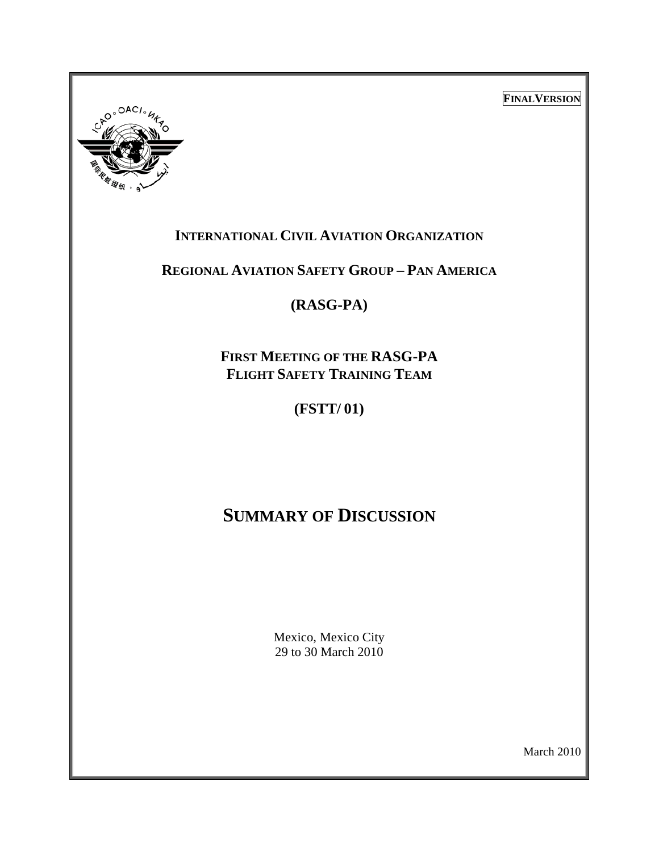**FINALVERSION**



## **INTERNATIONAL CIVIL AVIATION ORGANIZATION**

**REGIONAL AVIATION SAFETY GROUP – PAN AMERICA**

**(RASG-PA)** 

**FIRST MEETING OF THE RASG-PA FLIGHT SAFETY TRAINING TEAM**

**(FSTT/ 01)** 

# **SUMMARY OF DISCUSSION**

Mexico, Mexico City 29 to 30 March 2010

March 2010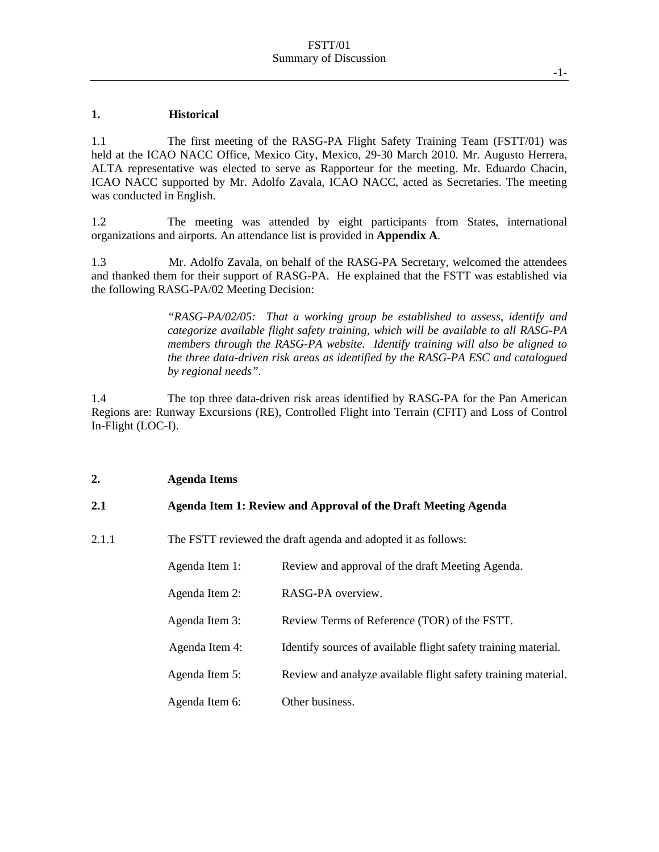#### **1. Historical**

1.1 The first meeting of the RASG-PA Flight Safety Training Team (FSTT/01) was held at the ICAO NACC Office, Mexico City, Mexico, 29-30 March 2010. Mr. Augusto Herrera, ALTA representative was elected to serve as Rapporteur for the meeting. Mr. Eduardo Chacin, ICAO NACC supported by Mr. Adolfo Zavala, ICAO NACC, acted as Secretaries. The meeting was conducted in English.

1.2 The meeting was attended by eight participants from States, international organizations and airports. An attendance list is provided in **Appendix A**.

1.3 Mr. Adolfo Zavala, on behalf of the RASG-PA Secretary, welcomed the attendees and thanked them for their support of RASG-PA. He explained that the FSTT was established via the following RASG-PA/02 Meeting Decision:

> *"RASG-PA/02/05: That a working group be established to assess, identify and categorize available flight safety training, which will be available to all RASG-PA members through the RASG-PA website. Identify training will also be aligned to the three data-driven risk areas as identified by the RASG-PA ESC and catalogued by regional needs".*

1.4 The top three data-driven risk areas identified by RASG-PA for the Pan American Regions are: Runway Excursions (RE), Controlled Flight into Terrain (CFIT) and Loss of Control In-Flight (LOC-I).

#### **2. Agenda Items**

#### **2.1 Agenda Item 1: Review and Approval of the Draft Meeting Agenda**

2.1.1 The FSTT reviewed the draft agenda and adopted it as follows:

| RASG-PA overview.<br>Agenda Item 2:<br>Agenda Item 3:<br>Review Terms of Reference (TOR) of the FSTT.<br>Agenda Item 4:<br>Identify sources of available flight safety training material.<br>Agenda Item 5:<br>Other business.<br>Agenda Item 6: | Agenda Item 1: | Review and approval of the draft Meeting Agenda.              |
|--------------------------------------------------------------------------------------------------------------------------------------------------------------------------------------------------------------------------------------------------|----------------|---------------------------------------------------------------|
|                                                                                                                                                                                                                                                  |                |                                                               |
|                                                                                                                                                                                                                                                  |                |                                                               |
|                                                                                                                                                                                                                                                  |                |                                                               |
|                                                                                                                                                                                                                                                  |                | Review and analyze available flight safety training material. |
|                                                                                                                                                                                                                                                  |                |                                                               |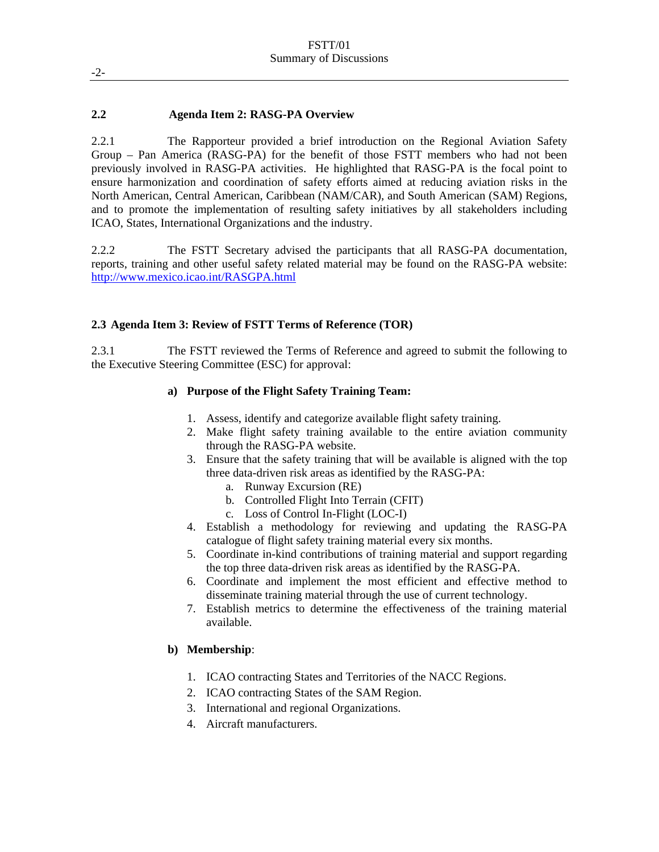#### **2.2 Agenda Item 2: RASG-PA Overview**

2.2.1 The Rapporteur provided a brief introduction on the Regional Aviation Safety Group – Pan America (RASG-PA) for the benefit of those FSTT members who had not been previously involved in RASG-PA activities. He highlighted that RASG-PA is the focal point to ensure harmonization and coordination of safety efforts aimed at reducing aviation risks in the North American, Central American, Caribbean (NAM/CAR), and South American (SAM) Regions, and to promote the implementation of resulting safety initiatives by all stakeholders including ICAO, States, International Organizations and the industry.

2.2.2 The FSTT Secretary advised the participants that all RASG-PA documentation, reports, training and other useful safety related material may be found on the RASG-PA website: http://www.mexico.icao.int/RASGPA.html

#### **2.3 Agenda Item 3: Review of FSTT Terms of Reference (TOR)**

2.3.1 The FSTT reviewed the Terms of Reference and agreed to submit the following to the Executive Steering Committee (ESC) for approval:

#### **a) Purpose of the Flight Safety Training Team:**

- 1. Assess, identify and categorize available flight safety training.
- 2. Make flight safety training available to the entire aviation community through the RASG-PA website.
- 3. Ensure that the safety training that will be available is aligned with the top three data-driven risk areas as identified by the RASG-PA:
	- a. Runway Excursion (RE)
	- b. Controlled Flight Into Terrain (CFIT)
	- c. Loss of Control In-Flight (LOC-I)
- 4. Establish a methodology for reviewing and updating the RASG-PA catalogue of flight safety training material every six months.
- 5. Coordinate in-kind contributions of training material and support regarding the top three data-driven risk areas as identified by the RASG-PA.
- 6. Coordinate and implement the most efficient and effective method to disseminate training material through the use of current technology.
- 7. Establish metrics to determine the effectiveness of the training material available.

#### **b) Membership**:

- 1. ICAO contracting States and Territories of the NACC Regions.
- 2. ICAO contracting States of the SAM Region.
- 3. International and regional Organizations.
- 4. Aircraft manufacturers.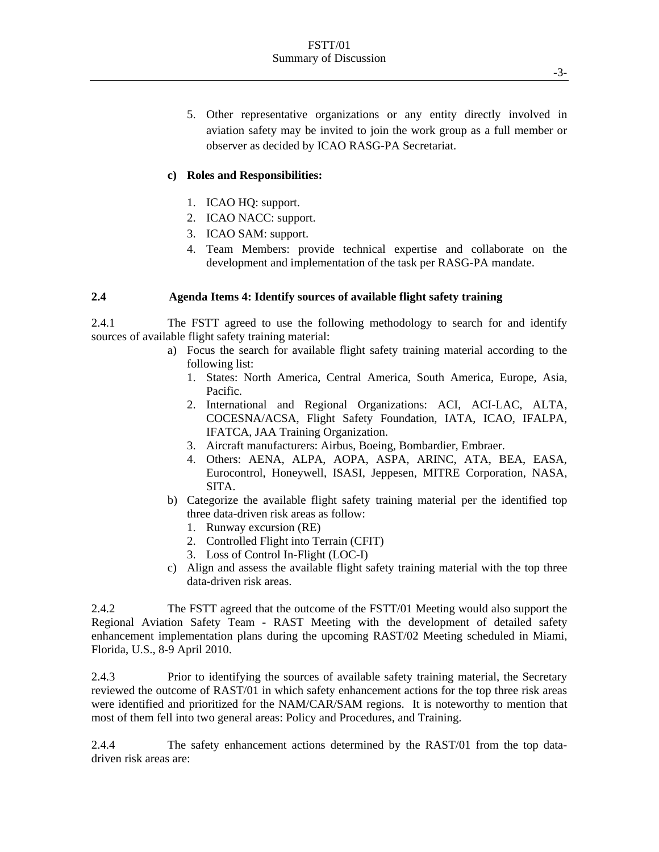5. Other representative organizations or any entity directly involved in aviation safety may be invited to join the work group as a full member or observer as decided by ICAO RASG-PA Secretariat.

#### **c) Roles and Responsibilities:**

- 1. ICAO HQ: support.
- 2. ICAO NACC: support.
- 3. ICAO SAM: support.
- 4. Team Members: provide technical expertise and collaborate on the development and implementation of the task per RASG-PA mandate.

#### **2.4 Agenda Items 4: Identify sources of available flight safety training**

2.4.1 The FSTT agreed to use the following methodology to search for and identify sources of available flight safety training material:

- a) Focus the search for available flight safety training material according to the following list:
	- 1. States: North America, Central America, South America, Europe, Asia, Pacific.
	- 2. International and Regional Organizations: ACI, ACI-LAC, ALTA, COCESNA/ACSA, Flight Safety Foundation, IATA, ICAO, IFALPA, IFATCA, JAA Training Organization.
	- 3. Aircraft manufacturers: Airbus, Boeing, Bombardier, Embraer.
	- 4. Others: AENA, ALPA, AOPA, ASPA, ARINC, ATA, BEA, EASA, Eurocontrol, Honeywell, ISASI, Jeppesen, MITRE Corporation, NASA, SITA.
- b) Categorize the available flight safety training material per the identified top three data-driven risk areas as follow:
	- 1. Runway excursion (RE)
	- 2. Controlled Flight into Terrain (CFIT)
	- 3. Loss of Control In-Flight (LOC-I)
- c) Align and assess the available flight safety training material with the top three data-driven risk areas.

2.4.2 The FSTT agreed that the outcome of the FSTT/01 Meeting would also support the Regional Aviation Safety Team - RAST Meeting with the development of detailed safety enhancement implementation plans during the upcoming RAST/02 Meeting scheduled in Miami, Florida, U.S., 8-9 April 2010.

2.4.3 Prior to identifying the sources of available safety training material, the Secretary reviewed the outcome of RAST/01 in which safety enhancement actions for the top three risk areas were identified and prioritized for the NAM/CAR/SAM regions. It is noteworthy to mention that most of them fell into two general areas: Policy and Procedures, and Training.

2.4.4 The safety enhancement actions determined by the RAST/01 from the top datadriven risk areas are: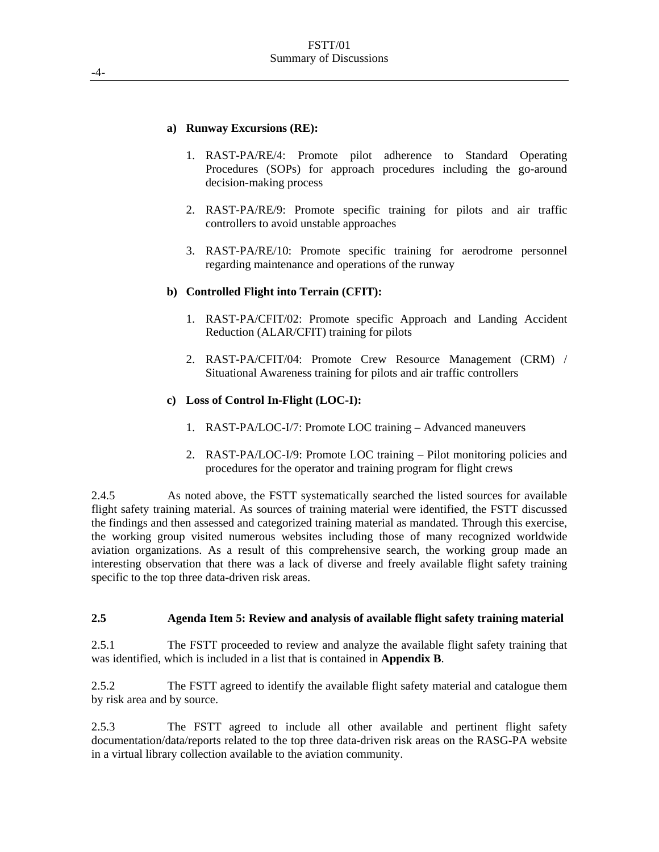#### **a) Runway Excursions (RE):**

- 1. RAST-PA/RE/4: Promote pilot adherence to Standard Operating Procedures (SOPs) for approach procedures including the go-around decision-making process
- 2. RAST-PA/RE/9: Promote specific training for pilots and air traffic controllers to avoid unstable approaches
- 3. RAST-PA/RE/10: Promote specific training for aerodrome personnel regarding maintenance and operations of the runway

#### **b) Controlled Flight into Terrain (CFIT):**

- 1. RAST-PA/CFIT/02: Promote specific Approach and Landing Accident Reduction (ALAR/CFIT) training for pilots
- 2. RAST-PA/CFIT/04: Promote Crew Resource Management (CRM) / Situational Awareness training for pilots and air traffic controllers

#### **c) Loss of Control In-Flight (LOC-I):**

- 1. RAST-PA/LOC-I/7: Promote LOC training Advanced maneuvers
- 2. RAST-PA/LOC-I/9: Promote LOC training Pilot monitoring policies and procedures for the operator and training program for flight crews

2.4.5 As noted above, the FSTT systematically searched the listed sources for available flight safety training material. As sources of training material were identified, the FSTT discussed the findings and then assessed and categorized training material as mandated. Through this exercise, the working group visited numerous websites including those of many recognized worldwide aviation organizations. As a result of this comprehensive search, the working group made an interesting observation that there was a lack of diverse and freely available flight safety training specific to the top three data-driven risk areas.

#### **2.5 Agenda Item 5: Review and analysis of available flight safety training material**

2.5.1 The FSTT proceeded to review and analyze the available flight safety training that was identified, which is included in a list that is contained in **Appendix B**.

2.5.2 The FSTT agreed to identify the available flight safety material and catalogue them by risk area and by source.

2.5.3 The FSTT agreed to include all other available and pertinent flight safety documentation/data/reports related to the top three data-driven risk areas on the RASG-PA website in a virtual library collection available to the aviation community.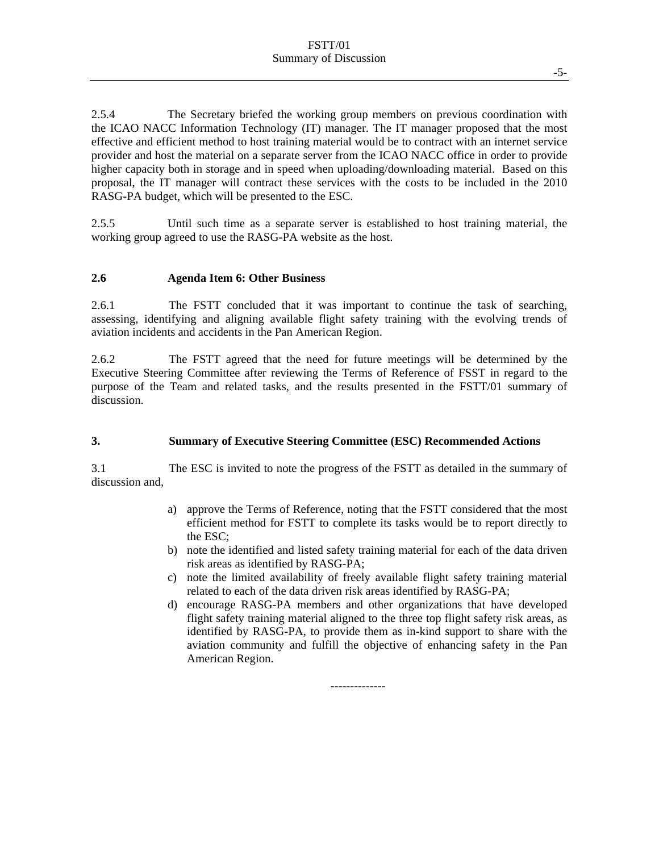2.5.4 The Secretary briefed the working group members on previous coordination with the ICAO NACC Information Technology (IT) manager. The IT manager proposed that the most effective and efficient method to host training material would be to contract with an internet service provider and host the material on a separate server from the ICAO NACC office in order to provide higher capacity both in storage and in speed when uploading/downloading material. Based on this proposal, the IT manager will contract these services with the costs to be included in the 2010 RASG-PA budget, which will be presented to the ESC.

2.5.5 Until such time as a separate server is established to host training material, the working group agreed to use the RASG-PA website as the host.

#### **2.6 Agenda Item 6: Other Business**

2.6.1 The FSTT concluded that it was important to continue the task of searching, assessing, identifying and aligning available flight safety training with the evolving trends of aviation incidents and accidents in the Pan American Region.

2.6.2 The FSTT agreed that the need for future meetings will be determined by the Executive Steering Committee after reviewing the Terms of Reference of FSST in regard to the purpose of the Team and related tasks, and the results presented in the FSTT/01 summary of discussion.

#### **3. Summary of Executive Steering Committee (ESC) Recommended Actions**

3.1 The ESC is invited to note the progress of the FSTT as detailed in the summary of discussion and,

- a) approve the Terms of Reference, noting that the FSTT considered that the most efficient method for FSTT to complete its tasks would be to report directly to the ESC;
- b) note the identified and listed safety training material for each of the data driven risk areas as identified by RASG-PA;
- c) note the limited availability of freely available flight safety training material related to each of the data driven risk areas identified by RASG-PA;
- d) encourage RASG-PA members and other organizations that have developed flight safety training material aligned to the three top flight safety risk areas, as identified by RASG-PA, to provide them as in-kind support to share with the aviation community and fulfill the objective of enhancing safety in the Pan American Region.

--------------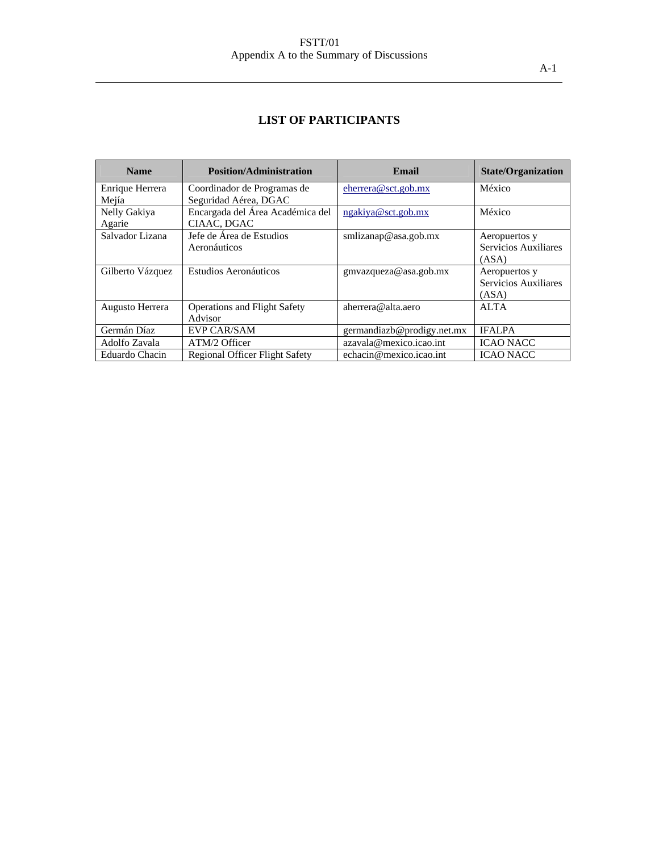### FSTT/01 Appendix A to the Summary of Discussions

## **LIST OF PARTICIPANTS**

| <b>Name</b>      | <b>Position/Administration</b>        | Email                      | <b>State/Organization</b> |
|------------------|---------------------------------------|----------------------------|---------------------------|
| Enrique Herrera  | Coordinador de Programas de           | $e$ herrera@sct.gob.mx     | México                    |
| Mejía            | Seguridad Aérea, DGAC                 |                            |                           |
| Nelly Gakiya     | Encargada del Área Académica del      | ngakiya@sct.gob.mx         | México                    |
| Agarie           | CIAAC, DGAC                           |                            |                           |
| Salvador Lizana  | Jefe de Área de Estudios              | smlizanap@asa.gob.mx       | Aeropuertos y             |
|                  | Aeronáuticos                          |                            | Servicios Auxiliares      |
|                  |                                       |                            | (ASA)                     |
| Gilberto Vázquez | Estudios Aeronáuticos                 | gmvazqueza@asa.gob.mx      | Aeropuertos y             |
|                  |                                       |                            | Servicios Auxiliares      |
|                  |                                       |                            | (ASA)                     |
| Augusto Herrera  | <b>Operations and Flight Safety</b>   | aherrera@alta.aero         | <b>ALTA</b>               |
|                  | Advisor                               |                            |                           |
| Germán Díaz      | <b>EVP CAR/SAM</b>                    | germandiazb@prodigy.net.mx | <b>IFALPA</b>             |
| Adolfo Zavala    | ATM/2 Officer                         | azavala@mexico.icao.int    | <b>ICAO NACC</b>          |
| Eduardo Chacin   | <b>Regional Officer Flight Safety</b> | echacin@mexico.icao.int    | <b>ICAO NACC</b>          |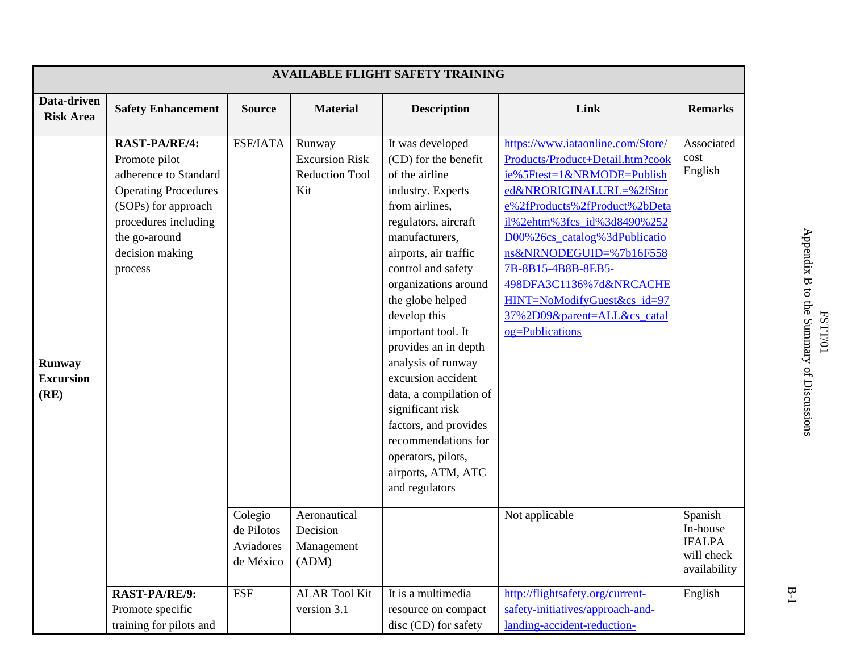| Data-driven<br><b>Risk Area</b>    | <b>Safety Enhancement</b><br><b>RAST-PA/RE/4:</b><br>Promote pilot<br>adherence to Standard                               | <b>Source</b><br>FSF/IATA          | <b>Material</b><br>Runway                                                                       | <b>Description</b>                                                                                                                                                                                                                                                                                                                                                                                                                                                                                           | Link                                                                                                                                                                                                                                                                                                                                                                                                            | <b>Remarks</b>                                                                      |
|------------------------------------|---------------------------------------------------------------------------------------------------------------------------|------------------------------------|-------------------------------------------------------------------------------------------------|--------------------------------------------------------------------------------------------------------------------------------------------------------------------------------------------------------------------------------------------------------------------------------------------------------------------------------------------------------------------------------------------------------------------------------------------------------------------------------------------------------------|-----------------------------------------------------------------------------------------------------------------------------------------------------------------------------------------------------------------------------------------------------------------------------------------------------------------------------------------------------------------------------------------------------------------|-------------------------------------------------------------------------------------|
|                                    |                                                                                                                           |                                    |                                                                                                 |                                                                                                                                                                                                                                                                                                                                                                                                                                                                                                              |                                                                                                                                                                                                                                                                                                                                                                                                                 |                                                                                     |
| Runway<br><b>Excursion</b><br>(RE) | <b>Operating Procedures</b><br>(SOPs) for approach<br>procedures including<br>the go-around<br>decision making<br>process | Colegio<br>de Pilotos<br>Aviadores | <b>Excursion Risk</b><br><b>Reduction Tool</b><br>Kit<br>Aeronautical<br>Decision<br>Management | It was developed<br>(CD) for the benefit<br>of the airline<br>industry. Experts<br>from airlines,<br>regulators, aircraft<br>manufacturers,<br>airports, air traffic<br>control and safety<br>organizations around<br>the globe helped<br>develop this<br>important tool. It<br>provides an in depth<br>analysis of runway<br>excursion accident<br>data, a compilation of<br>significant risk<br>factors, and provides<br>recommendations for<br>operators, pilots,<br>airports, ATM, ATC<br>and regulators | https://www.iataonline.com/Store/<br>Products/Product+Detail.htm?cook<br>ie%5Ftest=1&NRMODE=Publish<br>ed&NRORIGINALURL=%2fStor<br>e%2fProducts%2fProduct%2bDeta<br>il%2ehtm%3fcs_id%3d8490%252<br>D00%26cs_catalog%3dPublicatio<br>ns&NRNODEGUID=%7b16F558<br>7B-8B15-4B8B-8EB5-<br>498DFA3C1136%7d&NRCACHE<br>HINT=NoModifyGuest&cs_id=97<br>37%2D09&parent=ALL&cs_catal<br>og=Publications<br>Not applicable | Associated<br>cost<br>English<br>Spanish<br>In-house<br><b>IFALPA</b><br>will check |
|                                    | RAST-PA/RE/9:<br>Promote specific<br>training for pilots and                                                              | de México<br><b>FSF</b>            | (ADM)<br><b>ALAR Tool Kit</b><br>version 3.1                                                    | It is a multimedia<br>resource on compact<br>disc (CD) for safety                                                                                                                                                                                                                                                                                                                                                                                                                                            | http://flightsafety.org/current-<br>safety-initiatives/approach-and-<br>landing-accident-reduction-                                                                                                                                                                                                                                                                                                             | availability<br>English                                                             |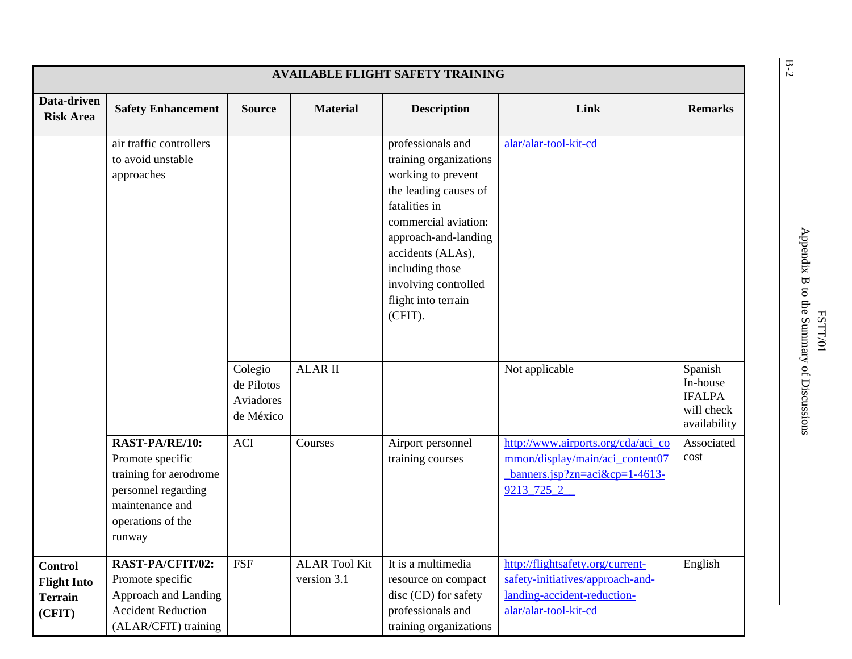| <b>AVAILABLE FLIGHT SAFETY TRAINING</b>                          |                                                                                                                                       |                                                 |                                     |                                                                                                                                                                                                                                                               |                                                                                                                                |                                                                    |  |  |
|------------------------------------------------------------------|---------------------------------------------------------------------------------------------------------------------------------------|-------------------------------------------------|-------------------------------------|---------------------------------------------------------------------------------------------------------------------------------------------------------------------------------------------------------------------------------------------------------------|--------------------------------------------------------------------------------------------------------------------------------|--------------------------------------------------------------------|--|--|
| Data-driven<br><b>Risk Area</b>                                  | <b>Safety Enhancement</b>                                                                                                             | <b>Source</b>                                   | <b>Material</b>                     | <b>Description</b>                                                                                                                                                                                                                                            | Link                                                                                                                           | <b>Remarks</b>                                                     |  |  |
|                                                                  | air traffic controllers<br>to avoid unstable<br>approaches                                                                            |                                                 |                                     | professionals and<br>training organizations<br>working to prevent<br>the leading causes of<br>fatalities in<br>commercial aviation:<br>approach-and-landing<br>accidents (ALAs),<br>including those<br>involving controlled<br>flight into terrain<br>(CFIT). | alar/alar-tool-kit-cd                                                                                                          |                                                                    |  |  |
|                                                                  |                                                                                                                                       | Colegio<br>de Pilotos<br>Aviadores<br>de México | <b>ALAR II</b>                      |                                                                                                                                                                                                                                                               | Not applicable                                                                                                                 | Spanish<br>In-house<br><b>IFALPA</b><br>will check<br>availability |  |  |
|                                                                  | RAST-PA/RE/10:<br>Promote specific<br>training for aerodrome<br>personnel regarding<br>maintenance and<br>operations of the<br>runway | <b>ACI</b>                                      | Courses                             | Airport personnel<br>training courses                                                                                                                                                                                                                         | http://www.airports.org/cda/aci_co<br>mmon/display/main/aci_content07<br>$banners.jpg?zn = aci \& cp = 1-4613-$<br>9213_725_2_ | Associated<br>cost                                                 |  |  |
| <b>Control</b><br><b>Flight Into</b><br><b>Terrain</b><br>(CFIT) | RAST-PA/CFIT/02:<br>Promote specific<br>Approach and Landing<br><b>Accident Reduction</b><br>(ALAR/CFIT) training                     | <b>FSF</b>                                      | <b>ALAR Tool Kit</b><br>version 3.1 | It is a multimedia<br>resource on compact<br>disc (CD) for safety<br>professionals and<br>training organizations                                                                                                                                              | http://flightsafety.org/current-<br>safety-initiatives/approach-and-<br>landing-accident-reduction-<br>alar/alar-tool-kit-cd   | English                                                            |  |  |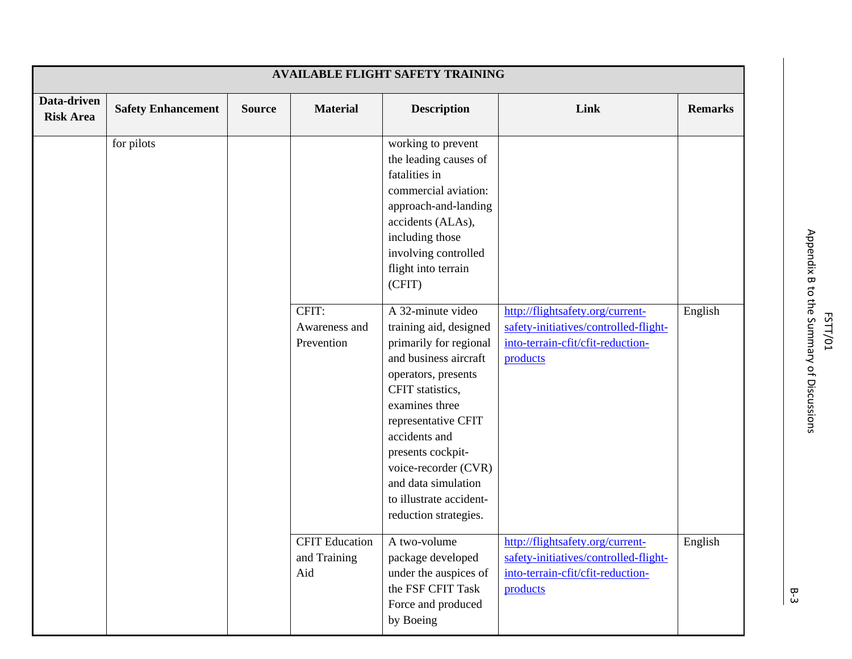|                                 |                           |               |                                              | <b>AVAILABLE FLIGHT SAFETY TRAINING</b>                                                                                                                                                                                                                                                                                                                                                                                                                                                                                                      |                                                                                                                            |                |
|---------------------------------|---------------------------|---------------|----------------------------------------------|----------------------------------------------------------------------------------------------------------------------------------------------------------------------------------------------------------------------------------------------------------------------------------------------------------------------------------------------------------------------------------------------------------------------------------------------------------------------------------------------------------------------------------------------|----------------------------------------------------------------------------------------------------------------------------|----------------|
| Data-driven<br><b>Risk Area</b> | <b>Safety Enhancement</b> | <b>Source</b> | <b>Material</b>                              | <b>Description</b>                                                                                                                                                                                                                                                                                                                                                                                                                                                                                                                           | Link                                                                                                                       | <b>Remarks</b> |
|                                 | for pilots                |               | CFIT:<br>Awareness and<br>Prevention         | working to prevent<br>the leading causes of<br>fatalities in<br>commercial aviation:<br>approach-and-landing<br>accidents (ALAs),<br>including those<br>involving controlled<br>flight into terrain<br>(CFIT)<br>A 32-minute video<br>training aid, designed<br>primarily for regional<br>and business aircraft<br>operators, presents<br>CFIT statistics,<br>examines three<br>representative CFIT<br>accidents and<br>presents cockpit-<br>voice-recorder (CVR)<br>and data simulation<br>to illustrate accident-<br>reduction strategies. | http://flightsafety.org/current-<br>safety-initiatives/controlled-flight-<br>into-terrain-cfit/cfit-reduction-<br>products | English        |
|                                 |                           |               | <b>CFIT Education</b><br>and Training<br>Aid | A two-volume<br>package developed<br>under the auspices of<br>the FSF CFIT Task<br>Force and produced<br>by Boeing                                                                                                                                                                                                                                                                                                                                                                                                                           | http://flightsafety.org/current-<br>safety-initiatives/controlled-flight-<br>into-terrain-cfit/cfit-reduction-<br>products | English        |

B ‐ 3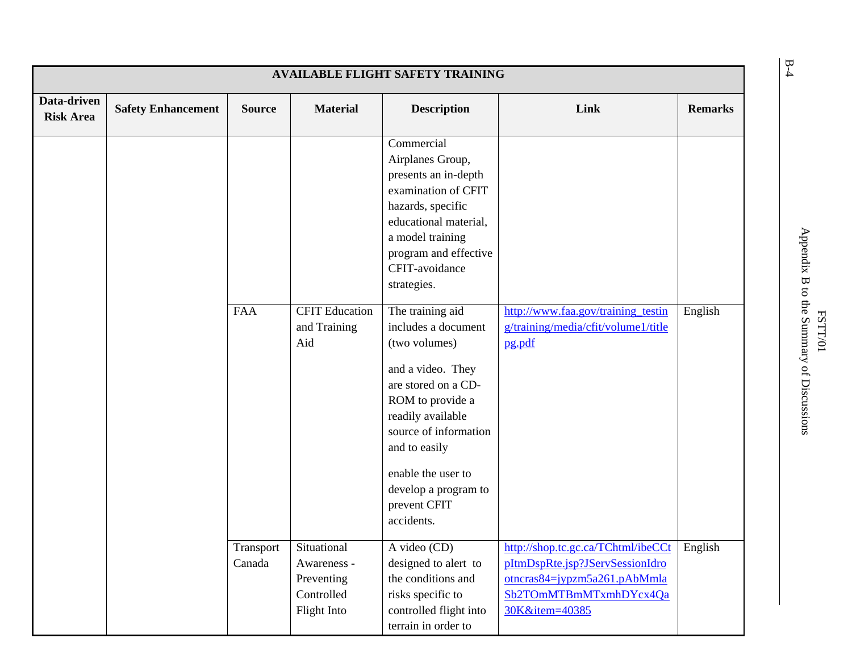| <b>AVAILABLE FLIGHT SAFETY TRAINING</b> |                           |                     |                                                                       |                                                                                                                                                                                                                                                                                                                                                                                                                                                                                  |                                                                                                                                                   |                |  |
|-----------------------------------------|---------------------------|---------------------|-----------------------------------------------------------------------|----------------------------------------------------------------------------------------------------------------------------------------------------------------------------------------------------------------------------------------------------------------------------------------------------------------------------------------------------------------------------------------------------------------------------------------------------------------------------------|---------------------------------------------------------------------------------------------------------------------------------------------------|----------------|--|
| Data-driven<br><b>Risk Area</b>         | <b>Safety Enhancement</b> | <b>Source</b>       | <b>Material</b>                                                       | <b>Description</b>                                                                                                                                                                                                                                                                                                                                                                                                                                                               | Link                                                                                                                                              | <b>Remarks</b> |  |
|                                         |                           | <b>FAA</b>          | <b>CFIT Education</b><br>and Training<br>Aid                          | Commercial<br>Airplanes Group,<br>presents an in-depth<br>examination of CFIT<br>hazards, specific<br>educational material,<br>a model training<br>program and effective<br>CFIT-avoidance<br>strategies.<br>The training aid<br>includes a document<br>(two volumes)<br>and a video. They<br>are stored on a CD-<br>ROM to provide a<br>readily available<br>source of information<br>and to easily<br>enable the user to<br>develop a program to<br>prevent CFIT<br>accidents. | http://www.faa.gov/training_testin<br>g/training/media/cfit/volume1/title<br>pg.pdf                                                               | English        |  |
|                                         |                           | Transport<br>Canada | Situational<br>Awareness -<br>Preventing<br>Controlled<br>Flight Into | A video (CD)<br>designed to alert to<br>the conditions and<br>risks specific to<br>controlled flight into<br>terrain in order to                                                                                                                                                                                                                                                                                                                                                 | http://shop.tc.gc.ca/TChtml/ibeCCt<br>pItmDspRte.jsp?JServSessionIdro<br>otncras84=jypzm5a261.pAbMmla<br>Sb2TOmMTBmMTxmhDYcx4Qa<br>30K&item=40385 | English        |  |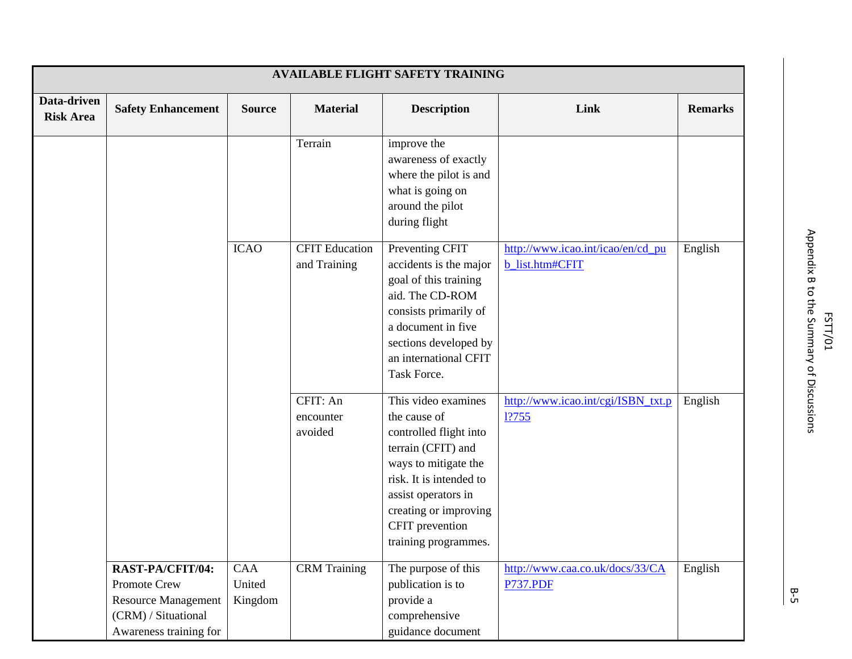|                                 |                                                                                                                 |                          |                                       | <b>AVAILABLE FLIGHT SAFETY TRAINING</b>                                                                                                                                                                                           |                                                      |                |
|---------------------------------|-----------------------------------------------------------------------------------------------------------------|--------------------------|---------------------------------------|-----------------------------------------------------------------------------------------------------------------------------------------------------------------------------------------------------------------------------------|------------------------------------------------------|----------------|
| Data-driven<br><b>Risk Area</b> | <b>Safety Enhancement</b>                                                                                       | <b>Source</b>            | <b>Material</b>                       | <b>Description</b>                                                                                                                                                                                                                | Link                                                 | <b>Remarks</b> |
|                                 |                                                                                                                 |                          | Terrain                               | improve the<br>awareness of exactly<br>where the pilot is and<br>what is going on<br>around the pilot<br>during flight                                                                                                            |                                                      |                |
|                                 |                                                                                                                 | <b>ICAO</b>              | <b>CFIT Education</b><br>and Training | Preventing CFIT<br>accidents is the major<br>goal of this training<br>aid. The CD-ROM<br>consists primarily of<br>a document in five<br>sections developed by<br>an international CFIT<br>Task Force.                             | http://www.icao.int/icao/en/cd_pu<br>b_list.htm#CFIT | English        |
|                                 |                                                                                                                 |                          | CFIT: An<br>encounter<br>avoided      | This video examines<br>the cause of<br>controlled flight into<br>terrain (CFIT) and<br>ways to mitigate the<br>risk. It is intended to<br>assist operators in<br>creating or improving<br>CFIT prevention<br>training programmes. | http://www.icao.int/cgi/ISBN_txt.p<br>1?755          | English        |
|                                 | RAST-PA/CFIT/04:<br>Promote Crew<br><b>Resource Management</b><br>(CRM) / Situational<br>Awareness training for | CAA<br>United<br>Kingdom | <b>CRM</b> Training                   | The purpose of this<br>publication is to<br>provide a<br>comprehensive<br>guidance document                                                                                                                                       | http://www.caa.co.uk/docs/33/CA<br><b>P737.PDF</b>   | English        |

ም<br>ይ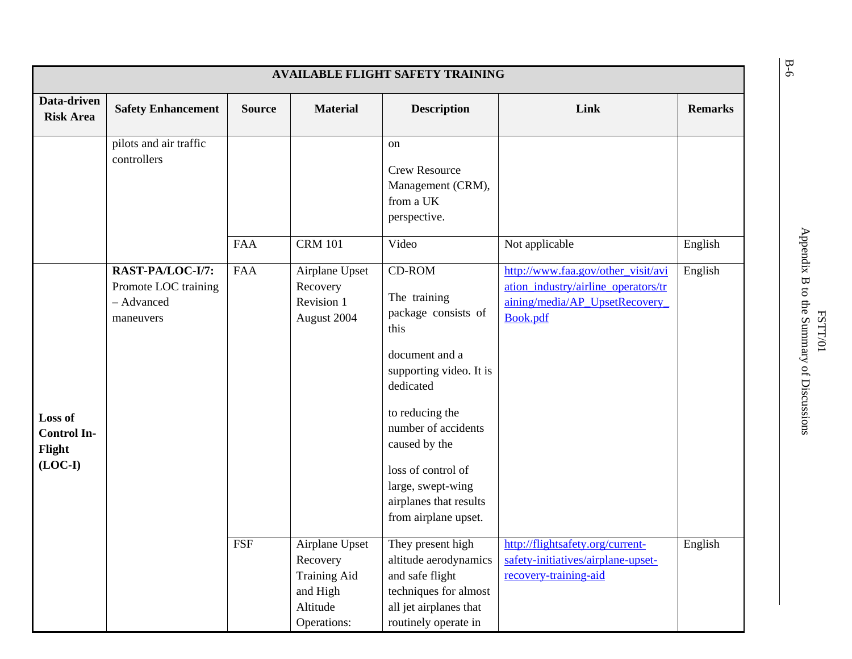| <b>AVAILABLE FLIGHT SAFETY TRAINING</b>              |                                                                     |               |                                                                                          |                                                                                                                                                                                                                                                                         |                                                                                                                         |                |  |
|------------------------------------------------------|---------------------------------------------------------------------|---------------|------------------------------------------------------------------------------------------|-------------------------------------------------------------------------------------------------------------------------------------------------------------------------------------------------------------------------------------------------------------------------|-------------------------------------------------------------------------------------------------------------------------|----------------|--|
| Data-driven<br><b>Risk Area</b>                      | <b>Safety Enhancement</b>                                           | <b>Source</b> | <b>Material</b>                                                                          | <b>Description</b>                                                                                                                                                                                                                                                      | Link                                                                                                                    | <b>Remarks</b> |  |
|                                                      | pilots and air traffic<br>controllers                               |               |                                                                                          | on<br><b>Crew Resource</b><br>Management (CRM),<br>from a UK<br>perspective.                                                                                                                                                                                            |                                                                                                                         |                |  |
|                                                      |                                                                     | <b>FAA</b>    | <b>CRM 101</b>                                                                           | Video                                                                                                                                                                                                                                                                   | Not applicable                                                                                                          | English        |  |
| Loss of<br><b>Control In-</b><br>Flight<br>$(LOC-I)$ | RAST-PA/LOC-I/7:<br>Promote LOC training<br>- Advanced<br>maneuvers | <b>FAA</b>    | Airplane Upset<br>Recovery<br>Revision 1<br>August 2004                                  | CD-ROM<br>The training<br>package consists of<br>this<br>document and a<br>supporting video. It is<br>dedicated<br>to reducing the<br>number of accidents<br>caused by the<br>loss of control of<br>large, swept-wing<br>airplanes that results<br>from airplane upset. | http://www.faa.gov/other_visit/avi<br>ation industry/airline operators/tr<br>aining/media/AP_UpsetRecovery_<br>Book.pdf | English        |  |
|                                                      |                                                                     | <b>FSF</b>    | Airplane Upset<br>Recovery<br><b>Training Aid</b><br>and High<br>Altitude<br>Operations: | They present high<br>altitude aerodynamics<br>and safe flight<br>techniques for almost<br>all jet airplanes that<br>routinely operate in                                                                                                                                | http://flightsafety.org/current-<br>safety-initiatives/airplane-upset-<br>recovery-training-aid                         | English        |  |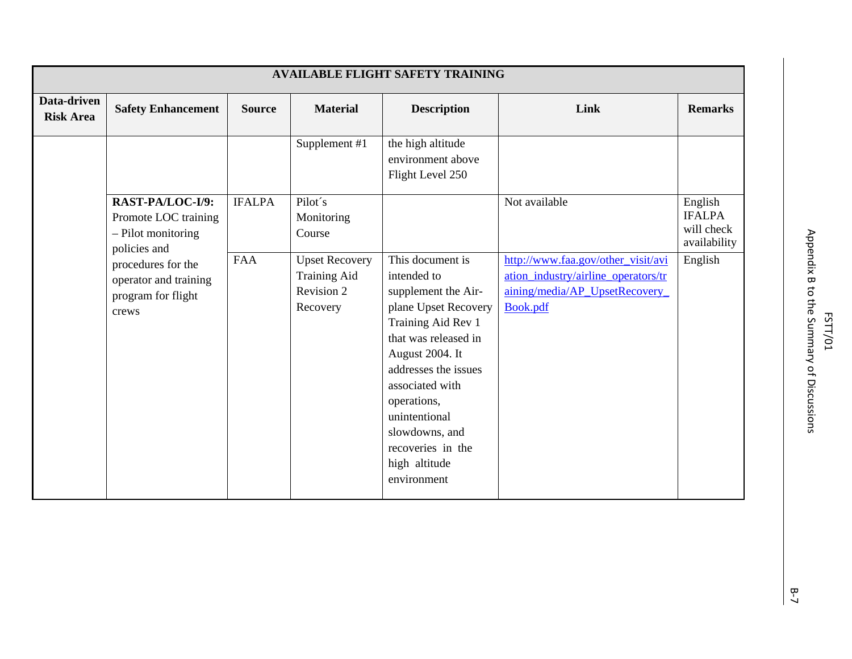|                                 |                                                                                  |               |                                                                        | <b>AVAILABLE FLIGHT SAFETY TRAINING</b>                                                                                                                                                                                                                                                           |                                                                                                                         |                                                        |
|---------------------------------|----------------------------------------------------------------------------------|---------------|------------------------------------------------------------------------|---------------------------------------------------------------------------------------------------------------------------------------------------------------------------------------------------------------------------------------------------------------------------------------------------|-------------------------------------------------------------------------------------------------------------------------|--------------------------------------------------------|
| Data-driven<br><b>Risk Area</b> | <b>Safety Enhancement</b>                                                        | <b>Source</b> | <b>Material</b>                                                        | <b>Description</b>                                                                                                                                                                                                                                                                                | Link                                                                                                                    | <b>Remarks</b>                                         |
|                                 |                                                                                  |               | Supplement #1                                                          | the high altitude<br>environment above<br>Flight Level 250                                                                                                                                                                                                                                        |                                                                                                                         |                                                        |
|                                 | RAST-PA/LOC-I/9:<br>Promote LOC training<br>$-$ Pilot monitoring<br>policies and | <b>IFALPA</b> | Pilot's<br>Monitoring<br>Course                                        |                                                                                                                                                                                                                                                                                                   | Not available                                                                                                           | English<br><b>IFALPA</b><br>will check<br>availability |
|                                 | procedures for the<br>operator and training<br>program for flight<br>crews       | <b>FAA</b>    | <b>Upset Recovery</b><br><b>Training Aid</b><br>Revision 2<br>Recovery | This document is<br>intended to<br>supplement the Air-<br>plane Upset Recovery<br>Training Aid Rev 1<br>that was released in<br>August 2004. It<br>addresses the issues<br>associated with<br>operations,<br>unintentional<br>slowdowns, and<br>recoveries in the<br>high altitude<br>environment | http://www.faa.gov/other_visit/avi<br>ation_industry/airline_operators/tr<br>aining/media/AP_UpsetRecovery_<br>Book.pdf | English                                                |